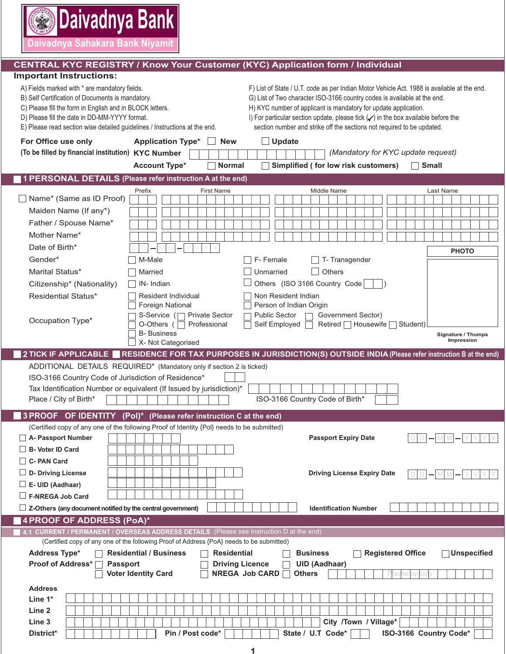**Daivadnya Sahakara Bank Niyamit**

**⑤ Daivadnya Bank** 

### **CENTRAL KYC REGISTRY / Know Your Customer (KYC) Application form / Individual**

#### **Important Instructions:**

| A) Fields marked with * are mandatory fields.<br>B) Self Certification of Documents is mandatory.<br>C) Please fill the form in English and in BLOCK letters.<br>D) Please fill the date in DD-MM-YYYY format.<br>E) Please read section wise detailed guidelines / Instructions at the end. |                                                                                            | F) List of State / U.T. code as per Indian Motor Vehicle Act. 1988 is available at the end.<br>G) List of Two character ISO-3166 country codes is available at the end.<br>H) KYC number of applicant is mandatory for update application.<br>I) For particular section update, please tick $(\checkmark)$ in the box available before the<br>section number and strike off the sections not required to be updated. |
|----------------------------------------------------------------------------------------------------------------------------------------------------------------------------------------------------------------------------------------------------------------------------------------------|--------------------------------------------------------------------------------------------|----------------------------------------------------------------------------------------------------------------------------------------------------------------------------------------------------------------------------------------------------------------------------------------------------------------------------------------------------------------------------------------------------------------------|
| For Office use only                                                                                                                                                                                                                                                                          | <b>Application Type*</b><br><b>New</b>                                                     | $\Box$ Update                                                                                                                                                                                                                                                                                                                                                                                                        |
| (To be filled by financial institution) KYC Number                                                                                                                                                                                                                                           |                                                                                            | (Mandatory for KYC update request)                                                                                                                                                                                                                                                                                                                                                                                   |
|                                                                                                                                                                                                                                                                                              | <b>Account Type*</b><br><b>Normal</b>                                                      | Simplified (for low risk customers)<br><b>Small</b>                                                                                                                                                                                                                                                                                                                                                                  |
|                                                                                                                                                                                                                                                                                              |                                                                                            |                                                                                                                                                                                                                                                                                                                                                                                                                      |
|                                                                                                                                                                                                                                                                                              | 1 PERSONAL DETAILS (Please refer instruction A at the end)                                 |                                                                                                                                                                                                                                                                                                                                                                                                                      |
| $\Box$ Name* (Same as ID Proof)                                                                                                                                                                                                                                                              | Prefix<br><b>First Name</b>                                                                | Middle Name<br>Last Name                                                                                                                                                                                                                                                                                                                                                                                             |
|                                                                                                                                                                                                                                                                                              |                                                                                            |                                                                                                                                                                                                                                                                                                                                                                                                                      |
| Maiden Name (If any*)                                                                                                                                                                                                                                                                        |                                                                                            |                                                                                                                                                                                                                                                                                                                                                                                                                      |
| Father / Spouse Name*                                                                                                                                                                                                                                                                        |                                                                                            |                                                                                                                                                                                                                                                                                                                                                                                                                      |
| Mother Name*                                                                                                                                                                                                                                                                                 |                                                                                            |                                                                                                                                                                                                                                                                                                                                                                                                                      |
| Date of Birth*                                                                                                                                                                                                                                                                               |                                                                                            | <b>PHOTO</b>                                                                                                                                                                                                                                                                                                                                                                                                         |
| Gender*                                                                                                                                                                                                                                                                                      | M-Male                                                                                     | F-Female<br>T-Transgender                                                                                                                                                                                                                                                                                                                                                                                            |
| Marital Status*                                                                                                                                                                                                                                                                              | Married                                                                                    | Others<br>Unmarried                                                                                                                                                                                                                                                                                                                                                                                                  |
| Citizenship* (Nationality)                                                                                                                                                                                                                                                                   | IN-Indian                                                                                  | Others (ISO 3166 Country Code                                                                                                                                                                                                                                                                                                                                                                                        |
| <b>Residential Status*</b>                                                                                                                                                                                                                                                                   | Resident Individual<br><b>Foreign National</b>                                             | Non Resident Indian<br>Person of Indian Origin                                                                                                                                                                                                                                                                                                                                                                       |
|                                                                                                                                                                                                                                                                                              | <b>Private Sector</b><br>S-Service (                                                       | <b>Public Sector</b><br>Government Sector)                                                                                                                                                                                                                                                                                                                                                                           |
| Occupation Type*                                                                                                                                                                                                                                                                             | O-Others (<br>Professional                                                                 | Self Employed<br>Retired   Housewife  <br>Student)                                                                                                                                                                                                                                                                                                                                                                   |
|                                                                                                                                                                                                                                                                                              | <b>B-</b> Business                                                                         | Signature / Thumps                                                                                                                                                                                                                                                                                                                                                                                                   |
|                                                                                                                                                                                                                                                                                              | X- Not Categorised                                                                         | Impression                                                                                                                                                                                                                                                                                                                                                                                                           |
|                                                                                                                                                                                                                                                                                              |                                                                                            | 2 TICK IF APPLICABLE RESIDENCE FOR TAX PURPOSES IN JURISDICTION(S) OUTSIDE INDIA (Please refer instruction B at the end)                                                                                                                                                                                                                                                                                             |
| ADDITIONAL DETAILS REQUIRED* (Mandatory only if section 2 is ticked)                                                                                                                                                                                                                         |                                                                                            |                                                                                                                                                                                                                                                                                                                                                                                                                      |
|                                                                                                                                                                                                                                                                                              |                                                                                            |                                                                                                                                                                                                                                                                                                                                                                                                                      |
| ISO-3166 Country Code of Jurisdiction of Residence*                                                                                                                                                                                                                                          |                                                                                            |                                                                                                                                                                                                                                                                                                                                                                                                                      |
|                                                                                                                                                                                                                                                                                              | Tax Identification Number or equivalent (If Issued by jurisdiction)*                       |                                                                                                                                                                                                                                                                                                                                                                                                                      |
| Place / City of Birth*                                                                                                                                                                                                                                                                       |                                                                                            | ISO-3166 Country Code of Birth*                                                                                                                                                                                                                                                                                                                                                                                      |
|                                                                                                                                                                                                                                                                                              | 3 PROOF OF IDENTITY (Pol)* (Please refer instruction C at the end)                         |                                                                                                                                                                                                                                                                                                                                                                                                                      |
|                                                                                                                                                                                                                                                                                              | (Certified copy of any one of the following Proof of Identity {Pol} needs to be submitted) |                                                                                                                                                                                                                                                                                                                                                                                                                      |
| A- Passport Number                                                                                                                                                                                                                                                                           |                                                                                            | <b>Passport Expiry Date</b><br>D                                                                                                                                                                                                                                                                                                                                                                                     |
| B- Voter ID Card                                                                                                                                                                                                                                                                             |                                                                                            |                                                                                                                                                                                                                                                                                                                                                                                                                      |
| $\Box$ C- PAN Card                                                                                                                                                                                                                                                                           |                                                                                            |                                                                                                                                                                                                                                                                                                                                                                                                                      |
| $\Box$ D- Driving License                                                                                                                                                                                                                                                                    |                                                                                            | <b>Driving License Expiry Date</b>                                                                                                                                                                                                                                                                                                                                                                                   |
| $\Box$ E- UID (Aadhaar)                                                                                                                                                                                                                                                                      |                                                                                            |                                                                                                                                                                                                                                                                                                                                                                                                                      |
| F-NREGA Job Card                                                                                                                                                                                                                                                                             |                                                                                            |                                                                                                                                                                                                                                                                                                                                                                                                                      |
| $\Box$ Z-Others (any document notified by the central government)                                                                                                                                                                                                                            |                                                                                            | <b>Identification Number</b>                                                                                                                                                                                                                                                                                                                                                                                         |
| 4 PROOF OF ADDRESS (PoA)*                                                                                                                                                                                                                                                                    |                                                                                            |                                                                                                                                                                                                                                                                                                                                                                                                                      |
|                                                                                                                                                                                                                                                                                              | 4.1 CURRENT / PERMANENT / OVERSEAS ADDRESS DETAILS (Please see Instruction D at the end)   |                                                                                                                                                                                                                                                                                                                                                                                                                      |
|                                                                                                                                                                                                                                                                                              | (Certified copy of any one of the following Proof of Address {PoA} needs to be submitted)  |                                                                                                                                                                                                                                                                                                                                                                                                                      |
| <b>Address Type*</b>                                                                                                                                                                                                                                                                         | <b>Residential / Business</b><br>Residential                                               | <b>Registered Office</b><br><b>Unspecified</b><br><b>Business</b>                                                                                                                                                                                                                                                                                                                                                    |
| <b>Proof of Address*</b><br><b>Passport</b>                                                                                                                                                                                                                                                  | <b>Driving Licence</b><br><b>Voter Identity Card</b>                                       | <b>UID (Aadhaar)</b><br><b>NREGA Job CARD</b><br><b>Others</b>                                                                                                                                                                                                                                                                                                                                                       |
|                                                                                                                                                                                                                                                                                              |                                                                                            |                                                                                                                                                                                                                                                                                                                                                                                                                      |
| <b>Address</b>                                                                                                                                                                                                                                                                               |                                                                                            |                                                                                                                                                                                                                                                                                                                                                                                                                      |
| Line $1^*$                                                                                                                                                                                                                                                                                   |                                                                                            |                                                                                                                                                                                                                                                                                                                                                                                                                      |
| Line 2                                                                                                                                                                                                                                                                                       |                                                                                            |                                                                                                                                                                                                                                                                                                                                                                                                                      |
| Line 3<br>District*                                                                                                                                                                                                                                                                          | Pin / Post code*                                                                           | City /Town / Village*<br>State / U.T Code*<br>ISO-3166 Country Code*                                                                                                                                                                                                                                                                                                                                                 |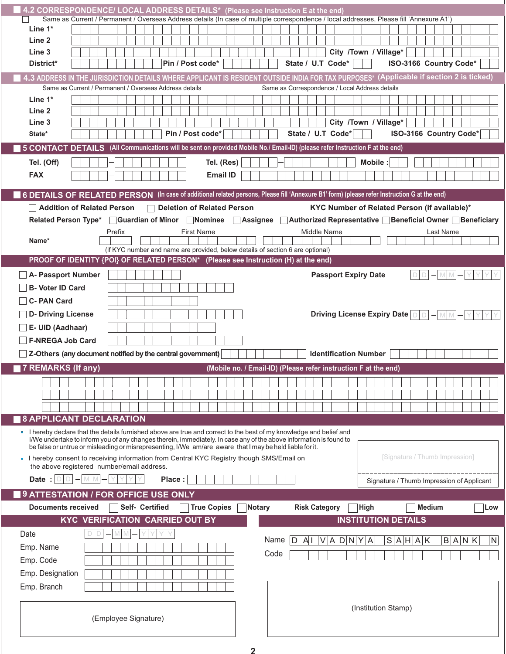| 4.2 CORRESPONDENCE/ LOCAL ADDRESS DETAILS* (Please see Instruction E at the end)                                                                                                                                               |                                            |  |        |                 |                                                                                |  |                    |                                                                 |  |               |                                                |   |                      |             |  |      |                              |                       |                                |               |           |                                              |  |                 |
|--------------------------------------------------------------------------------------------------------------------------------------------------------------------------------------------------------------------------------|--------------------------------------------|--|--------|-----------------|--------------------------------------------------------------------------------|--|--------------------|-----------------------------------------------------------------|--|---------------|------------------------------------------------|---|----------------------|-------------|--|------|------------------------------|-----------------------|--------------------------------|---------------|-----------|----------------------------------------------|--|-----------------|
| Same as Current / Permanent / Overseas Address details (In case of multiple correspondence / local addresses, Please fill 'Annexure A1')                                                                                       |                                            |  |        |                 |                                                                                |  |                    |                                                                 |  |               |                                                |   |                      |             |  |      |                              |                       |                                |               |           |                                              |  |                 |
| Line $1^*$                                                                                                                                                                                                                     |                                            |  |        |                 |                                                                                |  |                    |                                                                 |  |               |                                                |   |                      |             |  |      |                              |                       |                                |               |           |                                              |  |                 |
| Line 2                                                                                                                                                                                                                         |                                            |  |        |                 |                                                                                |  |                    |                                                                 |  |               |                                                |   |                      |             |  |      |                              |                       |                                |               |           |                                              |  |                 |
| Line 3                                                                                                                                                                                                                         |                                            |  |        |                 |                                                                                |  |                    |                                                                 |  |               |                                                |   |                      |             |  |      |                              | City /Town / Village* |                                |               |           |                                              |  |                 |
| District*                                                                                                                                                                                                                      |                                            |  |        |                 |                                                                                |  | Pin / Post code*   |                                                                 |  |               |                                                |   | State / U.T Code*    |             |  |      |                              |                       |                                |               |           | ISO-3166 Country Code*                       |  |                 |
| 4.3 ADDRESS IN THE JURISDICTION DETAILS WHERE APPLICANT IS RESIDENT OUTSIDE INDIA FOR TAX PURPOSES* (Applicable if section 2 is ticked)                                                                                        |                                            |  |        |                 |                                                                                |  |                    |                                                                 |  |               |                                                |   |                      |             |  |      |                              |                       |                                |               |           |                                              |  |                 |
| Same as Current / Permanent / Overseas Address details<br>Line $1^*$                                                                                                                                                           |                                            |  |        |                 |                                                                                |  |                    |                                                                 |  |               | Same as Correspondence / Local Address details |   |                      |             |  |      |                              |                       |                                |               |           |                                              |  |                 |
| Line 2                                                                                                                                                                                                                         |                                            |  |        |                 |                                                                                |  |                    |                                                                 |  |               |                                                |   |                      |             |  |      |                              |                       |                                |               |           |                                              |  |                 |
| Line <sub>3</sub>                                                                                                                                                                                                              |                                            |  |        |                 |                                                                                |  |                    |                                                                 |  |               |                                                |   |                      |             |  |      |                              | City /Town / Village* |                                |               |           |                                              |  |                 |
| State*                                                                                                                                                                                                                         |                                            |  |        |                 |                                                                                |  | Pin / Post code*   |                                                                 |  |               |                                                |   | State / U.T Code*    |             |  |      |                              |                       |                                |               |           | ISO-3166 Country Code*                       |  |                 |
| 5 CONTACT DETAILS (All Communications will be sent on provided Mobile No./ Email-ID) (please refer Instruction F at the end)                                                                                                   |                                            |  |        |                 |                                                                                |  |                    |                                                                 |  |               |                                                |   |                      |             |  |      |                              |                       |                                |               |           |                                              |  |                 |
| Tel. (Off)                                                                                                                                                                                                                     |                                            |  |        |                 |                                                                                |  |                    | Tel. (Res)                                                      |  |               |                                                |   |                      |             |  |      | Mobile:                      |                       |                                |               |           |                                              |  |                 |
| <b>FAX</b>                                                                                                                                                                                                                     |                                            |  |        |                 |                                                                                |  |                    |                                                                 |  |               |                                                |   |                      |             |  |      |                              |                       |                                |               |           |                                              |  |                 |
|                                                                                                                                                                                                                                |                                            |  |        |                 |                                                                                |  |                    | <b>Email ID</b>                                                 |  |               |                                                |   |                      |             |  |      |                              |                       |                                |               |           |                                              |  |                 |
| 6 DETAILS OF RELATED PERSON (In case of additional related persons, Please fill 'Annexure B1' form) (please refer Instruction G at the end)                                                                                    |                                            |  |        |                 |                                                                                |  |                    |                                                                 |  |               |                                                |   |                      |             |  |      |                              |                       |                                |               |           |                                              |  |                 |
| Addition of Related Person                                                                                                                                                                                                     |                                            |  |        |                 | <b>Deletion of Related Person</b>                                              |  |                    |                                                                 |  |               |                                                |   |                      |             |  |      |                              |                       |                                |               |           | KYC Number of Related Person (if available)* |  |                 |
| Related Person Type*   Guardian of Minor   Nominee   Assignee   Authorized Representative   Beneficial Owner   Beneficiary                                                                                                     |                                            |  |        |                 |                                                                                |  |                    |                                                                 |  |               |                                                |   |                      |             |  |      |                              |                       |                                |               |           |                                              |  |                 |
|                                                                                                                                                                                                                                |                                            |  | Prefix |                 |                                                                                |  | <b>First Name</b>  |                                                                 |  |               |                                                |   | Middle Name          |             |  |      |                              |                       |                                |               | Last Name |                                              |  |                 |
| Name*                                                                                                                                                                                                                          |                                            |  |        |                 | (if KYC number and name are provided, below details of section 6 are optional) |  |                    |                                                                 |  |               |                                                |   |                      |             |  |      |                              |                       |                                |               |           |                                              |  |                 |
| PROOF OF IDENTITY {POI} OF RELATED PERSON* (Please see Instruction (H) at the end)                                                                                                                                             |                                            |  |        |                 |                                                                                |  |                    |                                                                 |  |               |                                                |   |                      |             |  |      |                              |                       |                                |               |           |                                              |  |                 |
| A- Passport Number                                                                                                                                                                                                             |                                            |  |        |                 |                                                                                |  |                    |                                                                 |  |               |                                                |   |                      |             |  |      | <b>Passport Expiry Date</b>  |                       |                                | D             |           |                                              |  |                 |
| <b>B- Voter ID Card</b>                                                                                                                                                                                                        |                                            |  |        |                 |                                                                                |  |                    |                                                                 |  |               |                                                |   |                      |             |  |      |                              |                       |                                |               |           |                                              |  |                 |
| C- PAN Card                                                                                                                                                                                                                    |                                            |  |        |                 |                                                                                |  |                    |                                                                 |  |               |                                                |   |                      |             |  |      |                              |                       |                                |               |           |                                              |  |                 |
|                                                                                                                                                                                                                                |                                            |  |        |                 |                                                                                |  |                    |                                                                 |  |               |                                                |   |                      |             |  |      |                              |                       |                                |               |           |                                              |  |                 |
| D- Driving License                                                                                                                                                                                                             |                                            |  |        |                 |                                                                                |  |                    |                                                                 |  |               |                                                |   |                      |             |  |      |                              |                       | Driving License Expiry Date DD |               | M         |                                              |  |                 |
| E- UID (Aadhaar)                                                                                                                                                                                                               |                                            |  |        |                 |                                                                                |  |                    |                                                                 |  |               |                                                |   |                      |             |  |      |                              |                       |                                |               |           |                                              |  |                 |
| <b>F-NREGA Job Card</b>                                                                                                                                                                                                        |                                            |  |        |                 |                                                                                |  |                    |                                                                 |  |               |                                                |   |                      |             |  |      |                              |                       |                                |               |           |                                              |  |                 |
| $\Box$ Z-Others (any document notified by the central government)                                                                                                                                                              |                                            |  |        |                 |                                                                                |  |                    |                                                                 |  |               |                                                |   |                      |             |  |      | <b>Identification Number</b> |                       |                                |               |           |                                              |  |                 |
| 7 REMARKS (If any)                                                                                                                                                                                                             |                                            |  |        |                 |                                                                                |  |                    | (Mobile no. / Email-ID) (Please refer instruction F at the end) |  |               |                                                |   |                      |             |  |      |                              |                       |                                |               |           |                                              |  |                 |
|                                                                                                                                                                                                                                |                                            |  |        |                 |                                                                                |  |                    |                                                                 |  |               |                                                |   |                      |             |  |      |                              |                       |                                |               |           |                                              |  |                 |
|                                                                                                                                                                                                                                |                                            |  |        |                 |                                                                                |  |                    |                                                                 |  |               |                                                |   |                      |             |  |      |                              |                       |                                |               |           |                                              |  |                 |
|                                                                                                                                                                                                                                |                                            |  |        |                 |                                                                                |  |                    |                                                                 |  |               |                                                |   |                      |             |  |      |                              |                       |                                |               |           |                                              |  |                 |
| <b>8 APPLICANT DECLARATION</b>                                                                                                                                                                                                 |                                            |  |        |                 |                                                                                |  |                    |                                                                 |  |               |                                                |   |                      |             |  |      |                              |                       |                                |               |           |                                              |  |                 |
| • I hereby declare that the details furnished above are true and correct to the best of my knowledge and belief and                                                                                                            |                                            |  |        |                 |                                                                                |  |                    |                                                                 |  |               |                                                |   |                      |             |  |      |                              |                       |                                |               |           |                                              |  |                 |
| I/We undertake to inform you of any changes therein, immediately. In case any of the above information is found to<br>be false or untrue or misleading or misrepresenting, I/We am/are aware that I may be held liable for it. |                                            |  |        |                 |                                                                                |  |                    |                                                                 |  |               |                                                |   |                      |             |  |      |                              |                       |                                |               |           |                                              |  |                 |
| [Signature / Thumb Impression]<br>• I hereby consent to receiving information from Central KYC Registry though SMS/Email on                                                                                                    |                                            |  |        |                 |                                                                                |  |                    |                                                                 |  |               |                                                |   |                      |             |  |      |                              |                       |                                |               |           |                                              |  |                 |
|                                                                                                                                                                                                                                | the above registered number/email address. |  |        |                 |                                                                                |  |                    |                                                                 |  |               |                                                |   |                      |             |  |      |                              |                       |                                |               |           |                                              |  |                 |
| Date: $ D D $                                                                                                                                                                                                                  |                                            |  |        |                 | Place:                                                                         |  |                    |                                                                 |  |               |                                                |   |                      |             |  |      |                              |                       |                                |               |           | Signature / Thumb Impression of Applicant    |  |                 |
| 9 ATTESTATION / FOR OFFICE USE ONLY                                                                                                                                                                                            |                                            |  |        |                 |                                                                                |  |                    |                                                                 |  |               |                                                |   |                      |             |  |      |                              |                       |                                |               |           |                                              |  |                 |
| <b>Documents received</b>                                                                                                                                                                                                      |                                            |  |        | Self- Certified |                                                                                |  | <b>True Copies</b> |                                                                 |  | <b>Notary</b> |                                                |   | <b>Risk Category</b> |             |  | High |                              |                       |                                | <b>Medium</b> |           |                                              |  | Low             |
|                                                                                                                                                                                                                                | <b>KYC VERIFICATION CARRIED OUT BY</b>     |  |        |                 |                                                                                |  |                    |                                                                 |  |               |                                                |   |                      |             |  |      |                              |                       | <b>INSTITUTION DETAILS</b>     |               |           |                                              |  |                 |
| Date                                                                                                                                                                                                                           |                                            |  |        |                 |                                                                                |  |                    |                                                                 |  |               | Name                                           | D | $A \cup$             | V A D N Y A |  |      |                              |                       | S A H A K                      |               |           | B A N K                                      |  | $\vert N \vert$ |
| Emp. Name                                                                                                                                                                                                                      |                                            |  |        |                 |                                                                                |  |                    |                                                                 |  |               |                                                |   |                      |             |  |      |                              |                       |                                |               |           |                                              |  |                 |
| Emp. Code                                                                                                                                                                                                                      |                                            |  |        |                 |                                                                                |  |                    |                                                                 |  |               | Code                                           |   |                      |             |  |      |                              |                       |                                |               |           |                                              |  |                 |
| Emp. Designation                                                                                                                                                                                                               |                                            |  |        |                 |                                                                                |  |                    |                                                                 |  |               |                                                |   |                      |             |  |      |                              |                       |                                |               |           |                                              |  |                 |
| Emp. Branch                                                                                                                                                                                                                    |                                            |  |        |                 |                                                                                |  |                    |                                                                 |  |               |                                                |   |                      |             |  |      |                              |                       |                                |               |           |                                              |  |                 |
|                                                                                                                                                                                                                                |                                            |  |        |                 |                                                                                |  |                    |                                                                 |  |               |                                                |   |                      |             |  |      |                              |                       |                                |               |           |                                              |  |                 |
| (Institution Stamp)                                                                                                                                                                                                            |                                            |  |        |                 |                                                                                |  |                    |                                                                 |  |               |                                                |   |                      |             |  |      |                              |                       |                                |               |           |                                              |  |                 |
|                                                                                                                                                                                                                                | (Employee Signature)                       |  |        |                 |                                                                                |  |                    |                                                                 |  |               |                                                |   |                      |             |  |      |                              |                       |                                |               |           |                                              |  |                 |
|                                                                                                                                                                                                                                |                                            |  |        |                 |                                                                                |  |                    |                                                                 |  |               |                                                |   |                      |             |  |      |                              |                       |                                |               |           |                                              |  |                 |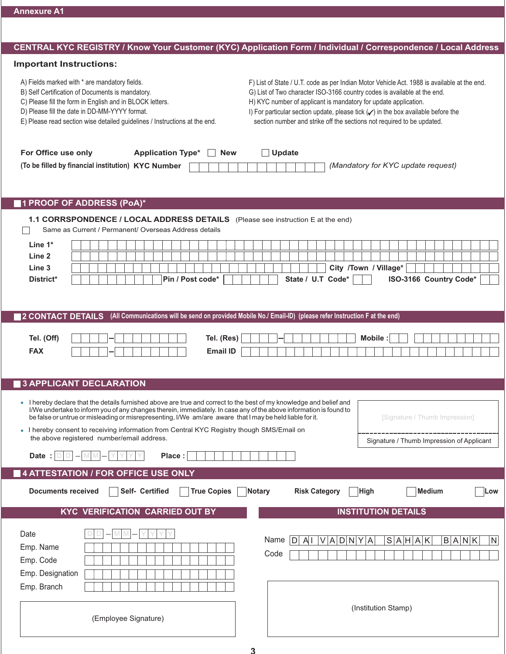# **CENTRAL KYC REGISTRY / Know Your Customer (KYC) Application Form / Individual / Correspondence / Local Address**

### **Important Instructions:**

| F) List of State / U.T. code as per Indian Motor Vehicle Act. 1988 is available at the end.<br>G) List of Two character ISO-3166 country codes is available at the end.<br>H) KYC number of applicant is mandatory for update application.<br>I) For particular section update, please tick $(\checkmark)$ in the box available before the<br>section number and strike off the sections not required to be updated. |  |  |  |  |  |  |  |  |
|----------------------------------------------------------------------------------------------------------------------------------------------------------------------------------------------------------------------------------------------------------------------------------------------------------------------------------------------------------------------------------------------------------------------|--|--|--|--|--|--|--|--|
| Update<br><b>New</b><br>(Mandatory for KYC update request)                                                                                                                                                                                                                                                                                                                                                           |  |  |  |  |  |  |  |  |
|                                                                                                                                                                                                                                                                                                                                                                                                                      |  |  |  |  |  |  |  |  |
| 1.1 CORRSPONDENCE / LOCAL ADDRESS DETAILS (Please see instruction E at the end)                                                                                                                                                                                                                                                                                                                                      |  |  |  |  |  |  |  |  |
|                                                                                                                                                                                                                                                                                                                                                                                                                      |  |  |  |  |  |  |  |  |
|                                                                                                                                                                                                                                                                                                                                                                                                                      |  |  |  |  |  |  |  |  |
| City /Town / Village*                                                                                                                                                                                                                                                                                                                                                                                                |  |  |  |  |  |  |  |  |
| State / U.T Code*<br>ISO-3166 Country Code*                                                                                                                                                                                                                                                                                                                                                                          |  |  |  |  |  |  |  |  |
|                                                                                                                                                                                                                                                                                                                                                                                                                      |  |  |  |  |  |  |  |  |
|                                                                                                                                                                                                                                                                                                                                                                                                                      |  |  |  |  |  |  |  |  |
| (All Communications will be send on provided Mobile No./ Email-ID) (please refer Instruction F at the end)                                                                                                                                                                                                                                                                                                           |  |  |  |  |  |  |  |  |
|                                                                                                                                                                                                                                                                                                                                                                                                                      |  |  |  |  |  |  |  |  |
| <b>Mobile:</b>                                                                                                                                                                                                                                                                                                                                                                                                       |  |  |  |  |  |  |  |  |
|                                                                                                                                                                                                                                                                                                                                                                                                                      |  |  |  |  |  |  |  |  |
|                                                                                                                                                                                                                                                                                                                                                                                                                      |  |  |  |  |  |  |  |  |
|                                                                                                                                                                                                                                                                                                                                                                                                                      |  |  |  |  |  |  |  |  |
| • I hereby declare that the details furnished above are true and correct to the best of my knowledge and belief and<br>I/We undertake to inform you of any changes therein, immediately. In case any of the above information is found to                                                                                                                                                                            |  |  |  |  |  |  |  |  |
| be false or untrue or misleading or misrepresenting, I/We am/are aware that I may be held liable for it.<br>[Signature / Thumb Impression]                                                                                                                                                                                                                                                                           |  |  |  |  |  |  |  |  |
| . I hereby consent to receiving information from Central KYC Registry though SMS/Email on                                                                                                                                                                                                                                                                                                                            |  |  |  |  |  |  |  |  |
| Signature / Thumb Impression of Applicant                                                                                                                                                                                                                                                                                                                                                                            |  |  |  |  |  |  |  |  |
|                                                                                                                                                                                                                                                                                                                                                                                                                      |  |  |  |  |  |  |  |  |
|                                                                                                                                                                                                                                                                                                                                                                                                                      |  |  |  |  |  |  |  |  |
| <b>Risk Category</b><br><b>Medium</b><br>Notary<br>High<br>Low                                                                                                                                                                                                                                                                                                                                                       |  |  |  |  |  |  |  |  |
|                                                                                                                                                                                                                                                                                                                                                                                                                      |  |  |  |  |  |  |  |  |
| <b>INSTITUTION DETAILS</b>                                                                                                                                                                                                                                                                                                                                                                                           |  |  |  |  |  |  |  |  |
|                                                                                                                                                                                                                                                                                                                                                                                                                      |  |  |  |  |  |  |  |  |
| V A D N Y A<br>S A H A K<br>B A N K<br>Name<br>${\sf N}$<br>IDI<br>AI                                                                                                                                                                                                                                                                                                                                                |  |  |  |  |  |  |  |  |
| Code                                                                                                                                                                                                                                                                                                                                                                                                                 |  |  |  |  |  |  |  |  |
|                                                                                                                                                                                                                                                                                                                                                                                                                      |  |  |  |  |  |  |  |  |
|                                                                                                                                                                                                                                                                                                                                                                                                                      |  |  |  |  |  |  |  |  |
| (Institution Stamp)                                                                                                                                                                                                                                                                                                                                                                                                  |  |  |  |  |  |  |  |  |
| Tel. (Res)<br><b>Email ID</b>                                                                                                                                                                                                                                                                                                                                                                                        |  |  |  |  |  |  |  |  |